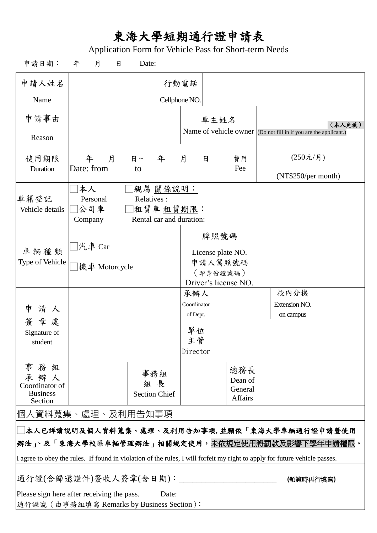## 東海大學短期通行證申請表

Application Form for Vehicle Pass for Short-term Needs

| 申請日期:                                                                                             | 年<br>月<br>日                                                                                                                | Date:                                                            |               |                     |      |                      |  |                                                                            |  |
|---------------------------------------------------------------------------------------------------|----------------------------------------------------------------------------------------------------------------------------|------------------------------------------------------------------|---------------|---------------------|------|----------------------|--|----------------------------------------------------------------------------|--|
| 申請人姓名                                                                                             |                                                                                                                            |                                                                  |               | 行動電話                |      |                      |  |                                                                            |  |
| Name                                                                                              |                                                                                                                            |                                                                  | Cellphone NO. |                     |      |                      |  |                                                                            |  |
| 申請事由                                                                                              |                                                                                                                            |                                                                  |               |                     | 車主姓名 |                      |  |                                                                            |  |
| Reason                                                                                            |                                                                                                                            |                                                                  |               |                     |      |                      |  | (本人免填)<br>Name of vehicle owner (Do not fill in if you are the applicant.) |  |
| 使用期限                                                                                              | 年<br>月                                                                                                                     | 日~ 年                                                             |               | 月<br>日              |      | 費用                   |  | (250元/月)                                                                   |  |
| Duration                                                                                          | Date: from                                                                                                                 | to                                                               |               |                     |      | Fee                  |  | (NT\$250/per month)                                                        |  |
| 車籍登記<br>Vehicle details                                                                           | 本人<br>Personal<br>公司車<br>Company                                                                                           | │親屬 關係說明:<br>Relatives:<br>祖賃車 租賃期限:<br>Rental car and duration: |               |                     |      |                      |  |                                                                            |  |
|                                                                                                   |                                                                                                                            | 牌照號碼                                                             |               |                     |      |                      |  |                                                                            |  |
| 車輛種類<br>Type of Vehicle                                                                           | □汽車 Car<br>機車 Motorcycle                                                                                                   |                                                                  |               |                     |      | License plate NO.    |  |                                                                            |  |
|                                                                                                   |                                                                                                                            |                                                                  |               | 申請人駕照號碼<br>(即身份證號碼) |      |                      |  |                                                                            |  |
| 請人<br>申<br>簽章處                                                                                    |                                                                                                                            |                                                                  |               |                     |      | Driver's license NO. |  |                                                                            |  |
|                                                                                                   |                                                                                                                            |                                                                  |               | 承辦人<br>Coordinator  |      |                      |  | 校內分機<br>Extension NO.                                                      |  |
|                                                                                                   |                                                                                                                            |                                                                  |               | of Dept.            |      |                      |  | on campus                                                                  |  |
| Signature of                                                                                      |                                                                                                                            |                                                                  |               | 單位                  |      |                      |  |                                                                            |  |
| student                                                                                           |                                                                                                                            |                                                                  |               | 主管<br>Director      |      |                      |  |                                                                            |  |
| 事務組                                                                                               |                                                                                                                            |                                                                  |               |                     |      | 總務長                  |  |                                                                            |  |
| 承辦人<br>Coordinator of                                                                             |                                                                                                                            | 事務組<br>組 長                                                       |               |                     |      | Dean of              |  |                                                                            |  |
| <b>Business</b><br>Section                                                                        |                                                                                                                            | <b>Section Chief</b>                                             |               |                     |      | General<br>Affairs   |  |                                                                            |  |
|                                                                                                   | 個人資料蒐集、處理、及利用告知事項                                                                                                          |                                                                  |               |                     |      |                      |  |                                                                            |  |
|                                                                                                   | □本人已詳讀說明及個人資料蒐集、處理、及利用告知事項,並願依「東海大學車輛通行證申請暨使用                                                                              |                                                                  |               |                     |      |                      |  |                                                                            |  |
|                                                                                                   | 辨法」、及「東海大學校區車輛管理辦法」相關規定使用, <u>未依規定使用將罰款及影響下學年申請權限</u> 。                                                                    |                                                                  |               |                     |      |                      |  |                                                                            |  |
|                                                                                                   | I agree to obey the rules. If found in violation of the rules, I will forfeit my right to apply for future vehicle passes. |                                                                  |               |                     |      |                      |  |                                                                            |  |
| 通行證(含歸還證件)簽收人簽章(含日期):_____________________<br>(領證時再行填寫)                                           |                                                                                                                            |                                                                  |               |                     |      |                      |  |                                                                            |  |
| Please sign here after receiving the pass.<br>Date:<br>通行證號 (由事務組填寫 Remarks by Business Section): |                                                                                                                            |                                                                  |               |                     |      |                      |  |                                                                            |  |
|                                                                                                   |                                                                                                                            |                                                                  |               |                     |      |                      |  |                                                                            |  |